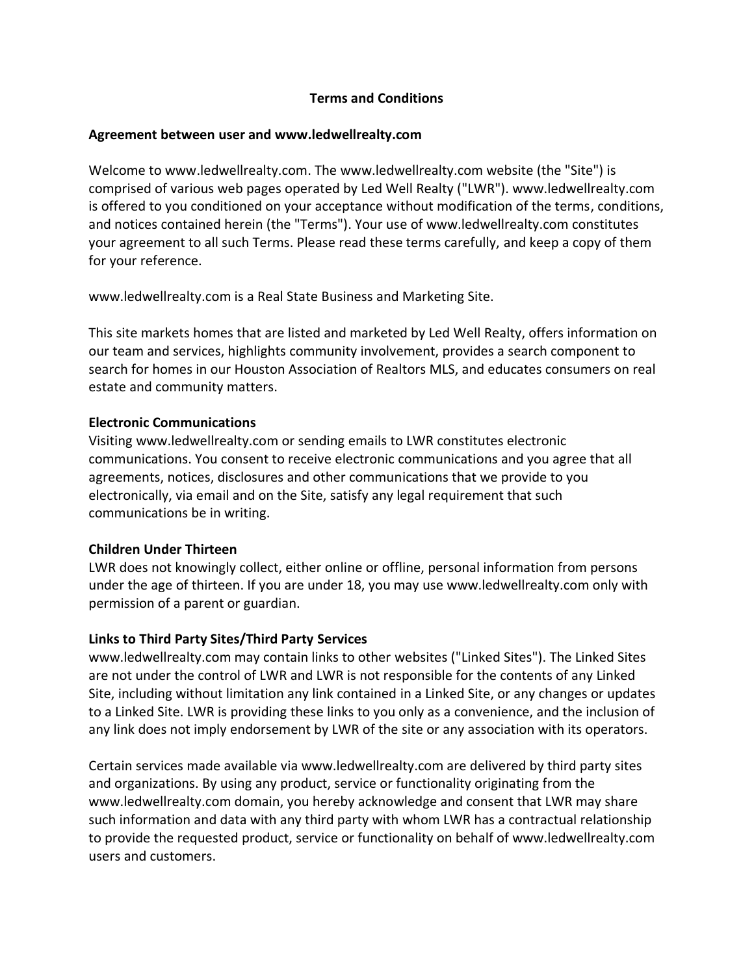# **Terms and Conditions**

## **Agreement between user and www.ledwellrealty.com**

Welcome to www.ledwellrealty.com. The www.ledwellrealty.com website (the "Site") is comprised of various web pages operated by Led Well Realty ("LWR"). www.ledwellrealty.com is offered to you conditioned on your acceptance without modification of the terms, conditions, and notices contained herein (the "Terms"). Your use of www.ledwellrealty.com constitutes your agreement to all such Terms. Please read these terms carefully, and keep a copy of them for your reference.

www.ledwellrealty.com is a Real State Business and Marketing Site.

This site markets homes that are listed and marketed by Led Well Realty, offers information on our team and services, highlights community involvement, provides a search component to search for homes in our Houston Association of Realtors MLS, and educates consumers on real estate and community matters.

#### **Electronic Communications**

Visiting www.ledwellrealty.com or sending emails to LWR constitutes electronic communications. You consent to receive electronic communications and you agree that all agreements, notices, disclosures and other communications that we provide to you electronically, via email and on the Site, satisfy any legal requirement that such communications be in writing.

## **Children Under Thirteen**

LWR does not knowingly collect, either online or offline, personal information from persons under the age of thirteen. If you are under 18, you may use www.ledwellrealty.com only with permission of a parent or guardian.

## **Links to Third Party Sites/Third Party Services**

www.ledwellrealty.com may contain links to other websites ("Linked Sites"). The Linked Sites are not under the control of LWR and LWR is not responsible for the contents of any Linked Site, including without limitation any link contained in a Linked Site, or any changes or updates to a Linked Site. LWR is providing these links to you only as a convenience, and the inclusion of any link does not imply endorsement by LWR of the site or any association with its operators.

Certain services made available via www.ledwellrealty.com are delivered by third party sites and organizations. By using any product, service or functionality originating from the www.ledwellrealty.com domain, you hereby acknowledge and consent that LWR may share such information and data with any third party with whom LWR has a contractual relationship to provide the requested product, service or functionality on behalf of www.ledwellrealty.com users and customers.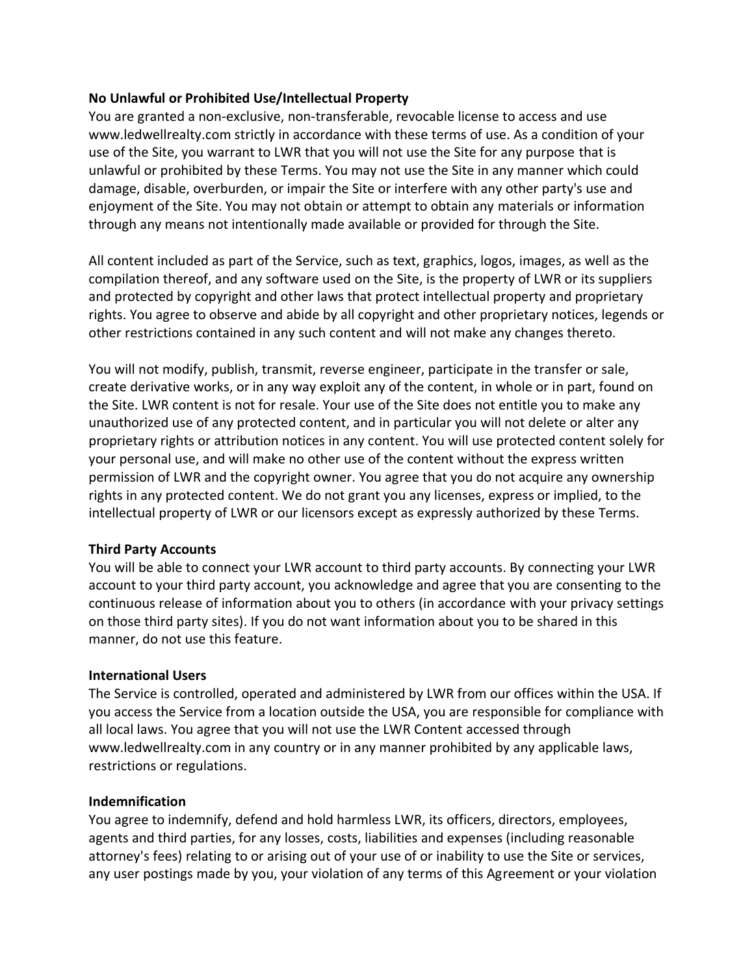# **No Unlawful or Prohibited Use/Intellectual Property**

You are granted a non-exclusive, non-transferable, revocable license to access and use www.ledwellrealty.com strictly in accordance with these terms of use. As a condition of your use of the Site, you warrant to LWR that you will not use the Site for any purpose that is unlawful or prohibited by these Terms. You may not use the Site in any manner which could damage, disable, overburden, or impair the Site or interfere with any other party's use and enjoyment of the Site. You may not obtain or attempt to obtain any materials or information through any means not intentionally made available or provided for through the Site.

All content included as part of the Service, such as text, graphics, logos, images, as well as the compilation thereof, and any software used on the Site, is the property of LWR or its suppliers and protected by copyright and other laws that protect intellectual property and proprietary rights. You agree to observe and abide by all copyright and other proprietary notices, legends or other restrictions contained in any such content and will not make any changes thereto.

You will not modify, publish, transmit, reverse engineer, participate in the transfer or sale, create derivative works, or in any way exploit any of the content, in whole or in part, found on the Site. LWR content is not for resale. Your use of the Site does not entitle you to make any unauthorized use of any protected content, and in particular you will not delete or alter any proprietary rights or attribution notices in any content. You will use protected content solely for your personal use, and will make no other use of the content without the express written permission of LWR and the copyright owner. You agree that you do not acquire any ownership rights in any protected content. We do not grant you any licenses, express or implied, to the intellectual property of LWR or our licensors except as expressly authorized by these Terms.

## **Third Party Accounts**

You will be able to connect your LWR account to third party accounts. By connecting your LWR account to your third party account, you acknowledge and agree that you are consenting to the continuous release of information about you to others (in accordance with your privacy settings on those third party sites). If you do not want information about you to be shared in this manner, do not use this feature.

## **International Users**

The Service is controlled, operated and administered by LWR from our offices within the USA. If you access the Service from a location outside the USA, you are responsible for compliance with all local laws. You agree that you will not use the LWR Content accessed through www.ledwellrealty.com in any country or in any manner prohibited by any applicable laws, restrictions or regulations.

## **Indemnification**

You agree to indemnify, defend and hold harmless LWR, its officers, directors, employees, agents and third parties, for any losses, costs, liabilities and expenses (including reasonable attorney's fees) relating to or arising out of your use of or inability to use the Site or services, any user postings made by you, your violation of any terms of this Agreement or your violation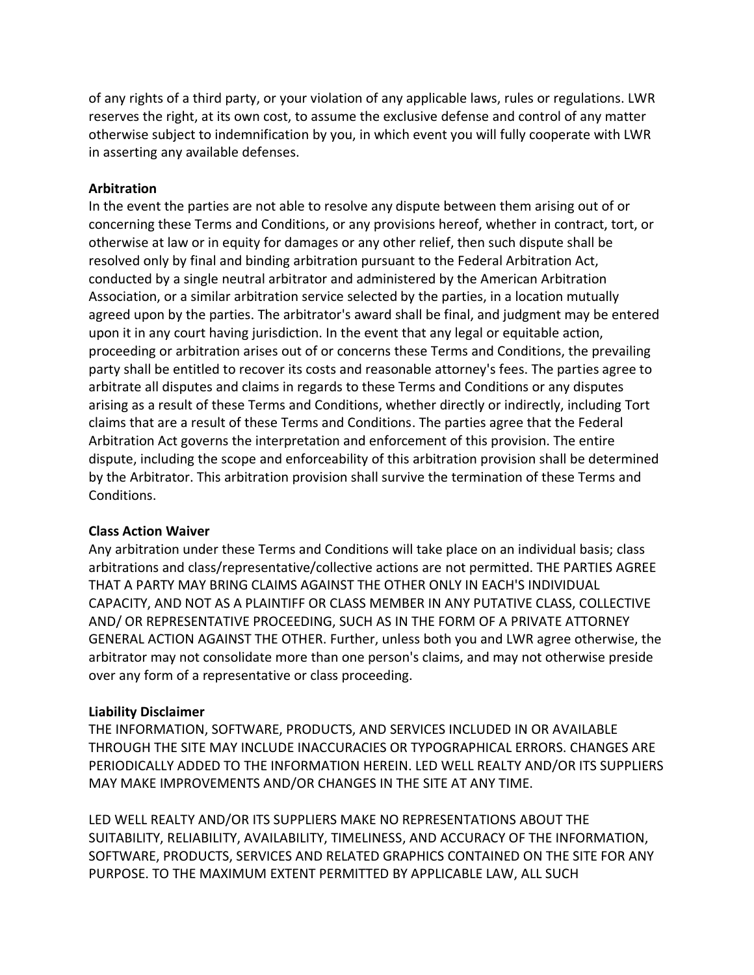of any rights of a third party, or your violation of any applicable laws, rules or regulations. LWR reserves the right, at its own cost, to assume the exclusive defense and control of any matter otherwise subject to indemnification by you, in which event you will fully cooperate with LWR in asserting any available defenses.

#### **Arbitration**

In the event the parties are not able to resolve any dispute between them arising out of or concerning these Terms and Conditions, or any provisions hereof, whether in contract, tort, or otherwise at law or in equity for damages or any other relief, then such dispute shall be resolved only by final and binding arbitration pursuant to the Federal Arbitration Act, conducted by a single neutral arbitrator and administered by the American Arbitration Association, or a similar arbitration service selected by the parties, in a location mutually agreed upon by the parties. The arbitrator's award shall be final, and judgment may be entered upon it in any court having jurisdiction. In the event that any legal or equitable action, proceeding or arbitration arises out of or concerns these Terms and Conditions, the prevailing party shall be entitled to recover its costs and reasonable attorney's fees. The parties agree to arbitrate all disputes and claims in regards to these Terms and Conditions or any disputes arising as a result of these Terms and Conditions, whether directly or indirectly, including Tort claims that are a result of these Terms and Conditions. The parties agree that the Federal Arbitration Act governs the interpretation and enforcement of this provision. The entire dispute, including the scope and enforceability of this arbitration provision shall be determined by the Arbitrator. This arbitration provision shall survive the termination of these Terms and Conditions.

## **Class Action Waiver**

Any arbitration under these Terms and Conditions will take place on an individual basis; class arbitrations and class/representative/collective actions are not permitted. THE PARTIES AGREE THAT A PARTY MAY BRING CLAIMS AGAINST THE OTHER ONLY IN EACH'S INDIVIDUAL CAPACITY, AND NOT AS A PLAINTIFF OR CLASS MEMBER IN ANY PUTATIVE CLASS, COLLECTIVE AND/ OR REPRESENTATIVE PROCEEDING, SUCH AS IN THE FORM OF A PRIVATE ATTORNEY GENERAL ACTION AGAINST THE OTHER. Further, unless both you and LWR agree otherwise, the arbitrator may not consolidate more than one person's claims, and may not otherwise preside over any form of a representative or class proceeding.

#### **Liability Disclaimer**

THE INFORMATION, SOFTWARE, PRODUCTS, AND SERVICES INCLUDED IN OR AVAILABLE THROUGH THE SITE MAY INCLUDE INACCURACIES OR TYPOGRAPHICAL ERRORS. CHANGES ARE PERIODICALLY ADDED TO THE INFORMATION HEREIN. LED WELL REALTY AND/OR ITS SUPPLIERS MAY MAKE IMPROVEMENTS AND/OR CHANGES IN THE SITE AT ANY TIME.

LED WELL REALTY AND/OR ITS SUPPLIERS MAKE NO REPRESENTATIONS ABOUT THE SUITABILITY, RELIABILITY, AVAILABILITY, TIMELINESS, AND ACCURACY OF THE INFORMATION, SOFTWARE, PRODUCTS, SERVICES AND RELATED GRAPHICS CONTAINED ON THE SITE FOR ANY PURPOSE. TO THE MAXIMUM EXTENT PERMITTED BY APPLICABLE LAW, ALL SUCH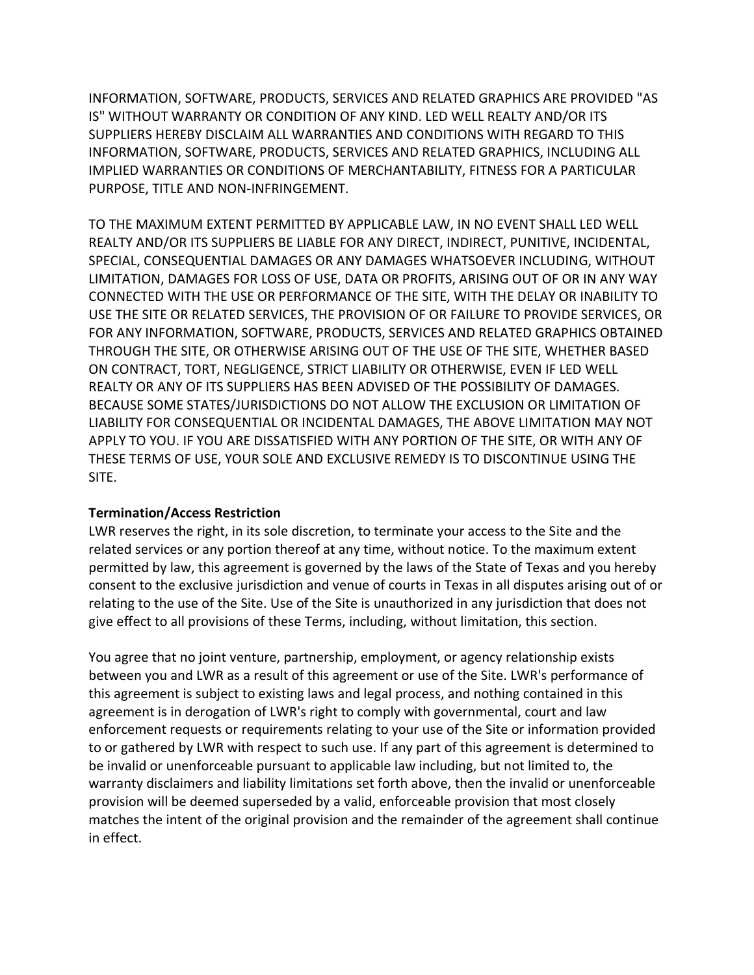INFORMATION, SOFTWARE, PRODUCTS, SERVICES AND RELATED GRAPHICS ARE PROVIDED "AS IS" WITHOUT WARRANTY OR CONDITION OF ANY KIND. LED WELL REALTY AND/OR ITS SUPPLIERS HEREBY DISCLAIM ALL WARRANTIES AND CONDITIONS WITH REGARD TO THIS INFORMATION, SOFTWARE, PRODUCTS, SERVICES AND RELATED GRAPHICS, INCLUDING ALL IMPLIED WARRANTIES OR CONDITIONS OF MERCHANTABILITY, FITNESS FOR A PARTICULAR PURPOSE, TITLE AND NON-INFRINGEMENT.

TO THE MAXIMUM EXTENT PERMITTED BY APPLICABLE LAW, IN NO EVENT SHALL LED WELL REALTY AND/OR ITS SUPPLIERS BE LIABLE FOR ANY DIRECT, INDIRECT, PUNITIVE, INCIDENTAL, SPECIAL, CONSEQUENTIAL DAMAGES OR ANY DAMAGES WHATSOEVER INCLUDING, WITHOUT LIMITATION, DAMAGES FOR LOSS OF USE, DATA OR PROFITS, ARISING OUT OF OR IN ANY WAY CONNECTED WITH THE USE OR PERFORMANCE OF THE SITE, WITH THE DELAY OR INABILITY TO USE THE SITE OR RELATED SERVICES, THE PROVISION OF OR FAILURE TO PROVIDE SERVICES, OR FOR ANY INFORMATION, SOFTWARE, PRODUCTS, SERVICES AND RELATED GRAPHICS OBTAINED THROUGH THE SITE, OR OTHERWISE ARISING OUT OF THE USE OF THE SITE, WHETHER BASED ON CONTRACT, TORT, NEGLIGENCE, STRICT LIABILITY OR OTHERWISE, EVEN IF LED WELL REALTY OR ANY OF ITS SUPPLIERS HAS BEEN ADVISED OF THE POSSIBILITY OF DAMAGES. BECAUSE SOME STATES/JURISDICTIONS DO NOT ALLOW THE EXCLUSION OR LIMITATION OF LIABILITY FOR CONSEQUENTIAL OR INCIDENTAL DAMAGES, THE ABOVE LIMITATION MAY NOT APPLY TO YOU. IF YOU ARE DISSATISFIED WITH ANY PORTION OF THE SITE, OR WITH ANY OF THESE TERMS OF USE, YOUR SOLE AND EXCLUSIVE REMEDY IS TO DISCONTINUE USING THE SITE.

#### **Termination/Access Restriction**

LWR reserves the right, in its sole discretion, to terminate your access to the Site and the related services or any portion thereof at any time, without notice. To the maximum extent permitted by law, this agreement is governed by the laws of the State of Texas and you hereby consent to the exclusive jurisdiction and venue of courts in Texas in all disputes arising out of or relating to the use of the Site. Use of the Site is unauthorized in any jurisdiction that does not give effect to all provisions of these Terms, including, without limitation, this section.

You agree that no joint venture, partnership, employment, or agency relationship exists between you and LWR as a result of this agreement or use of the Site. LWR's performance of this agreement is subject to existing laws and legal process, and nothing contained in this agreement is in derogation of LWR's right to comply with governmental, court and law enforcement requests or requirements relating to your use of the Site or information provided to or gathered by LWR with respect to such use. If any part of this agreement is determined to be invalid or unenforceable pursuant to applicable law including, but not limited to, the warranty disclaimers and liability limitations set forth above, then the invalid or unenforceable provision will be deemed superseded by a valid, enforceable provision that most closely matches the intent of the original provision and the remainder of the agreement shall continue in effect.